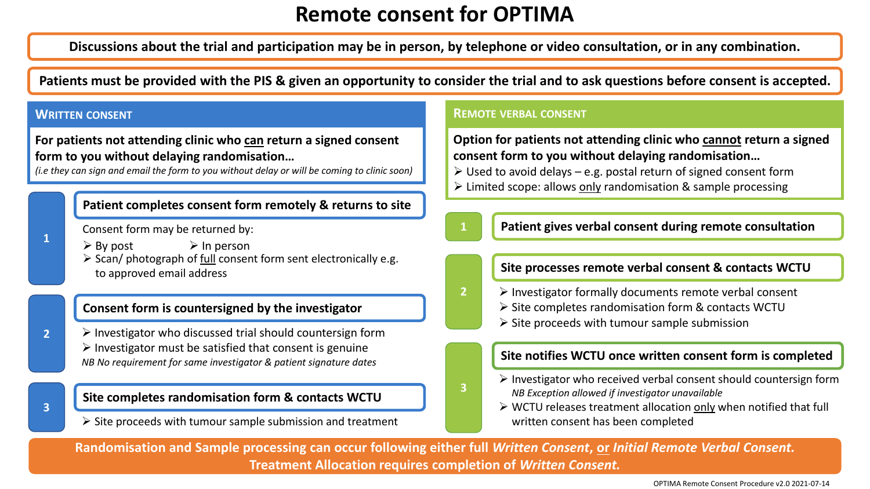# **Remote consent for OPTIMA**

**Discussions about the trial and participation may be in person, by telephone or video consultation, or in any combination.**

**Patients must be provided with the PIS & given an opportunity to consider the trial and to ask questions before consent is accepted.**

**For patients not attending clinic who can return a signed consent form to you without delaying randomisation…** 

*(i.e they can sign and email the form to you without delay or will be coming to clinic soon)*

### **Patient completes consent form remotely & returns to site**

Consent form may be returned by:

- $\triangleright$  By post  $\triangleright$  In person
- ➢ Scan/ photograph of full consent form sent electronically e.g. to approved email address

### **Consent form is countersigned by the investigator**

**2**  $\triangleright$  Investigator who discussed trial should countersign form  $\triangleright$  Investigator must be satisfied that consent is genuine *NB No requirement for same investigator & patient signature dates*

# **3**

**1**

### **Site completes randomisation form & contacts WCTU**

 $\triangleright$  Site proceeds with tumour sample submission and treatment

#### **WRITTEN CONSENT REMOTE VERBAL CONSENT**

**Option for patients not attending clinic who cannot return a signed consent form to you without delaying randomisation…** 

- $\triangleright$  Used to avoid delays e.g. postal return of signed consent form
- ➢ Limited scope: allows only randomisation & sample processing

**2**

**3**

**1 Patient gives verbal consent during remote consultation**

#### **Site processes remote verbal consent & contacts WCTU**

- ➢ Investigator formally documents remote verbal consent
	- ➢ Site completes randomisation form & contacts WCTU
	- $\triangleright$  Site proceeds with tumour sample submission

### **Site notifies WCTU once written consent form is completed**

- ➢ Investigator who received verbal consent should countersign form *NB Exception allowed if investigator unavailable*
- ➢ WCTU releases treatment allocation only when notified that full written consent has been completed

**Randomisation and Sample processing can occur following either full** *Written Consent***, or** *Initial Remote Verbal Consent.* **Treatment Allocation requires completion of** *Written Consent.* 

OPTIMA Remote Consent Procedure v2.0 2021-07-14